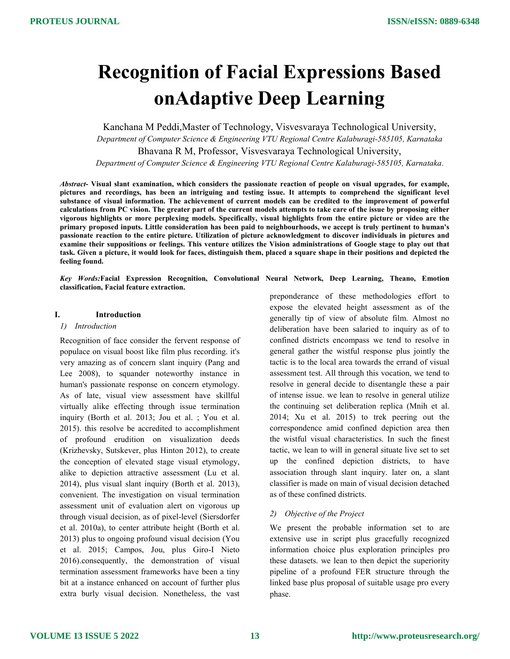# Recognition of Facial Expressions Based onAdaptive Deep Learning

Kanchana M Peddi,Master of Technology, Visvesvaraya Technological University, Department of Computer Science & Engineering VTU Regional Centre Kalaburagi-585105, Karnataka Bhavana R M, Professor, Visvesvaraya Technological University, Department of Computer Science & Engineering VTU Regional Centre Kalaburagi-585105, Karnataka.

Abstract- Visual slant examination, which considers the passionate reaction of people on visual upgrades, for example, pictures and recordings, has been an intriguing and testing issue. It attempts to comprehend the significant level substance of visual information. The achievement of current models can be credited to the improvement of powerful calculations from PC vision. The greater part of the current models attempts to take care of the issue by proposing either vigorous highlights or more perplexing models. Specifically, visual highlights from the entire picture or video are the primary proposed inputs. Little consideration has been paid to neighbourhoods, we accept is truly pertinent to human's passionate reaction to the entire picture. Utilization of picture acknowledgment to discover individuals in pictures and examine their suppositions or feelings. This venture utilizes the Vision administrations of Google stage to play out that task. Given a picture, it would look for faces, distinguish them, placed a square shape in their positions and depicted the feeling found.

Key Words:Facial Expression Recognition, Convolutional Neural Network, Deep Learning, Theano, Emotion classification, Facial feature extraction.

#### I. Introduction

#### 1) Introduction

Recognition of face consider the fervent response of populace on visual boost like film plus recording. it's very amazing as of concern slant inquiry (Pang and Lee 2008), to squander noteworthy instance in human's passionate response on concern etymology. As of late, visual view assessment have skillful virtually alike effecting through issue termination inquiry (Borth et al. 2013; Jou et al. ; You et al. 2015). this resolve be accredited to accomplishment of profound erudition on visualization deeds (Krizhevsky, Sutskever, plus Hinton 2012), to create the conception of elevated stage visual etymology, alike to depiction attractive assessment (Lu et al. 2014), plus visual slant inquiry (Borth et al. 2013), convenient. The investigation on visual termination assessment unit of evaluation alert on vigorous up through visual decision, as of pixel-level (Siersdorfer et al. 2010a), to center attribute height (Borth et al. 2013) plus to ongoing profound visual decision (You et al. 2015; Campos, Jou, plus Giro-I Nieto 2016).consequently, the demonstration of visual termination assessment frameworks have been a tiny bit at a instance enhanced on account of further plus extra burly visual decision. Nonetheless, the vast preponderance of these methodologies effort to expose the elevated height assessment as of the generally tip of view of absolute film. Almost no deliberation have been salaried to inquiry as of to confined districts encompass we tend to resolve in general gather the wistful response plus jointly the tactic is to the local area towards the errand of visual assessment test. All through this vocation, we tend to resolve in general decide to disentangle these a pair of intense issue. we lean to resolve in general utilize the continuing set deliberation replica (Mnih et al. 2014; Xu et al. 2015) to trek peering out the correspondence amid confined depiction area then the wistful visual characteristics. In such the finest tactic, we lean to will in general situate live set to set up the confined depiction districts, to have association through slant inquiry. later on, a slant classifier is made on main of visual decision detached as of these confined districts.

### 2) Objective of the Project

We present the probable information set to are extensive use in script plus gracefully recognized information choice plus exploration principles pro these datasets. we lean to then depict the superiority pipeline of a profound FER structure through the linked base plus proposal of suitable usage pro every phase.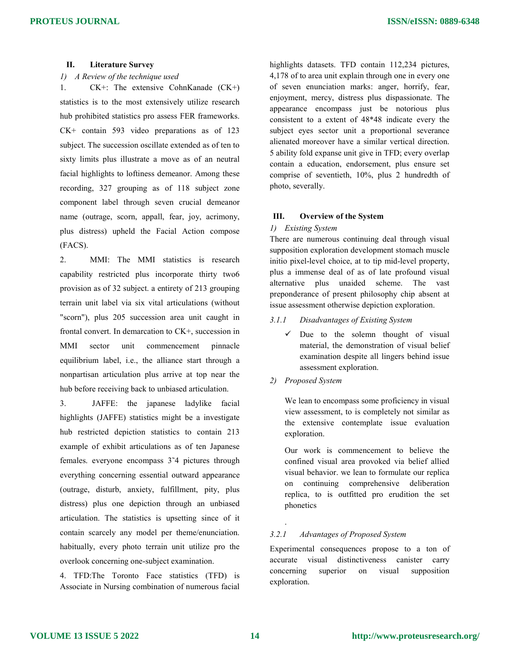# II. Literature Survey

1) A Review of the technique used

1. CK+: The extensive CohnKanade (CK+) statistics is to the most extensively utilize research hub prohibited statistics pro assess FER frameworks. CK+ contain 593 video preparations as of 123 subject. The succession oscillate extended as of ten to sixty limits plus illustrate a move as of an neutral facial highlights to loftiness demeanor. Among these recording, 327 grouping as of 118 subject zone component label through seven crucial demeanor name (outrage, scorn, appall, fear, joy, acrimony, plus distress) upheld the Facial Action compose (FACS).

2. MMI: The MMI statistics is research capability restricted plus incorporate thirty two6 provision as of 32 subject. a entirety of 213 grouping terrain unit label via six vital articulations (without "scorn"), plus 205 succession area unit caught in frontal convert. In demarcation to CK+, succession in MMI sector unit commencement pinnacle equilibrium label, i.e., the alliance start through a nonpartisan articulation plus arrive at top near the hub before receiving back to unbiased articulation.

3. JAFFE: the japanese ladylike facial highlights (JAFFE) statistics might be a investigate hub restricted depiction statistics to contain 213 example of exhibit articulations as of ten Japanese females. everyone encompass 3˜4 pictures through everything concerning essential outward appearance (outrage, disturb, anxiety, fulfillment, pity, plus distress) plus one depiction through an unbiased articulation. The statistics is upsetting since of it contain scarcely any model per theme/enunciation. habitually, every photo terrain unit utilize pro the overlook concerning one-subject examination.

4. TFD:The Toronto Face statistics (TFD) is Associate in Nursing combination of numerous facial

highlights datasets. TFD contain 112,234 pictures, 4,178 of to area unit explain through one in every one of seven enunciation marks: anger, horrify, fear, enjoyment, mercy, distress plus dispassionate. The appearance encompass just be notorious plus consistent to a extent of 48\*48 indicate every the subject eyes sector unit a proportional severance alienated moreover have a similar vertical direction. 5 ability fold expanse unit give in TFD; every overlap contain a education, endorsement, plus ensure set comprise of seventieth, 10%, plus 2 hundredth of photo, severally.

## III. Overview of the System

## 1) Existing System

There are numerous continuing deal through visual supposition exploration development stomach muscle initio pixel-level choice, at to tip mid-level property, plus a immense deal of as of late profound visual alternative plus unaided scheme. The vast preponderance of present philosophy chip absent at issue assessment otherwise depiction exploration.

- 3.1.1 Disadvantages of Existing System
	- $\checkmark$  Due to the solemn thought of visual material, the demonstration of visual belief examination despite all lingers behind issue assessment exploration.
- 2) Proposed System

.

We lean to encompass some proficiency in visual view assessment, to is completely not similar as the extensive contemplate issue evaluation exploration.

Our work is commencement to believe the confined visual area provoked via belief allied visual behavior. we lean to formulate our replica on continuing comprehensive deliberation replica, to is outfitted pro erudition the set phonetics

# 3.2.1 Advantages of Proposed System

Experimental consequences propose to a ton of accurate visual distinctiveness canister carry concerning superior on visual supposition exploration.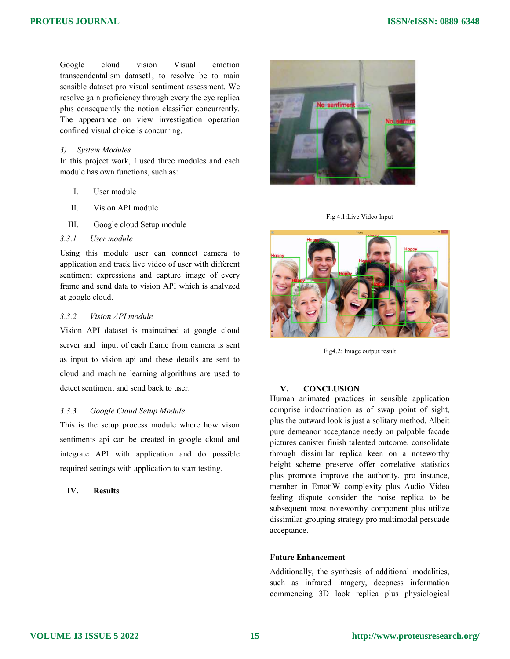Google cloud vision Visual emotion transcendentalism dataset1, to resolve be to main transcendentalism dataset1, to resolve be to main sensible dataset pro visual sentiment assessment. We resolve gain proficiency through every the eye replica plus consequently the notion classifier concurrently. The appearance on view investigation operation confined visual choice is concurring.

# 3) System Modules

In this project work, I used three modules and each module has own functions, such as:

- I. User module
- II. Vision API module
- III. Google cloud Setup module
- 3.3.1 User module

Using this module user can connect camera to application and track live video of user with different sentiment expressions and capture image of every frame and send data to vision API which is analyzed at google cloud.

# 3.3.2 Vision API module

Vision API dataset is maintained at google cloud server and input of each frame from camera is sent as input to vision api and these details are sent to cloud and machine learning algorithms are used to detect sentiment and send back to user. is experiment through every the eye replica consequently the notion classifier concurrently.<br>
appearance on view investigation operation<br>
and visual choice is concurring.<br>
System Modules<br>
is project work, I used three modu

## 3.3.3 Google Cloud Setup Module

This is the setup process module where how vison sentiments api can be created in google cloud and integrate API with application and do possible required settings with application to start testing

# IV. Results



Fig 4.1: Live Video Input



Fig4.2: Image output result

## V. CONCLUSION

Human animated practices in sensible application Human animated practices in sensible application<br>comprise indoctrination as of swap point of sight, plus the outward look is just a solitary method. Albeit pure demeanor acceptance needy on palpable facade pictures canister finish talented outcome, consolidate through dissimilar replica keen on a noteworthy height scheme preserve offer correlative statistics plus promote improve the authority. pro instance, member in EmotiW complexity plus Audio Video feeling dispute consider the noise replica to be subsequent most noteworthy component plus utilize dissimilar grouping strategy pro multimodal persua acceptance. plus the outward look is just a solitary method. Albeit<br>pure demeanor acceptance needy on palpable facade<br>pictures canister finish talented outcome, consolidate<br>through dissimilar replica keen on a noteworthy<br>height scheme mote improve the authority. pro instance, in EmotiW complexity plus Audio Video dispute consider the noise replica to be ent most noteworthy component plus utilize ar grouping strategy pro multimodal persuade

#### Future Enhancement

Additionally, the synthesis of additional modalities, such as infrared imagery, deepness information commencing 3D look replica plus physiological